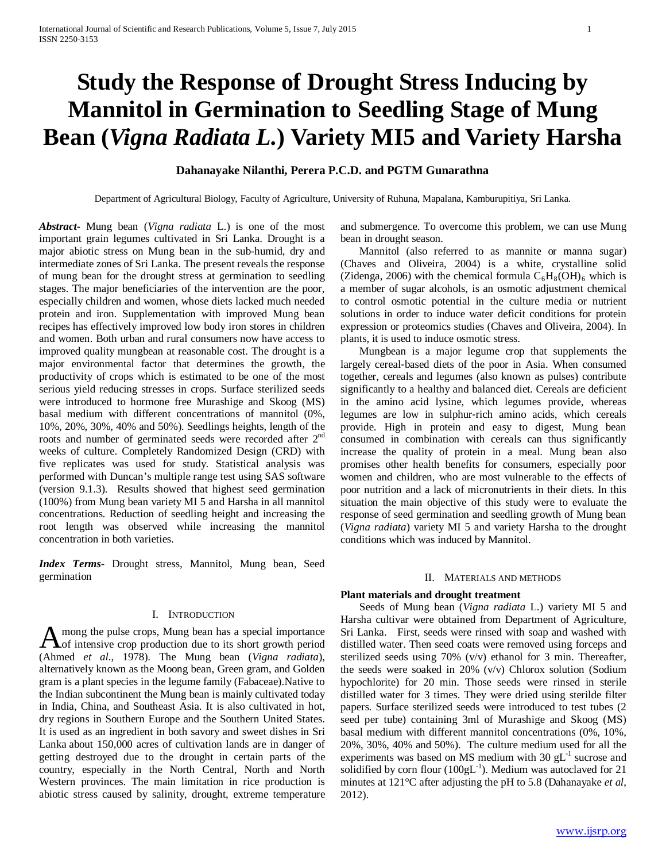# **Study the Response of Drought Stress Inducing by Mannitol in Germination to Seedling Stage of Mung Bean (***Vigna Radiata L.***) Variety MI5 and Variety Harsha**

# **Dahanayake Nilanthi, Perera P.C.D. and PGTM Gunarathna**

Department of Agricultural Biology, Faculty of Agriculture, University of Ruhuna, Mapalana, Kamburupitiya, Sri Lanka.

*Abstract***-** Mung bean (*Vigna radiata* L.) is one of the most important grain legumes cultivated in Sri Lanka. Drought is a major abiotic stress on Mung bean in the sub-humid, dry and intermediate zones of Sri Lanka. The present reveals the response of mung bean for the drought stress at germination to seedling stages. The major beneficiaries of the intervention are the poor, especially children and women, whose diets lacked much needed protein and iron. Supplementation with improved Mung bean recipes has effectively improved low body iron stores in children and women. Both urban and rural consumers now have access to improved quality mungbean at reasonable cost. The drought is a major environmental factor that determines the growth, the productivity of crops which is estimated to be one of the most serious yield reducing stresses in crops. Surface sterilized seeds were introduced to hormone free Murashige and Skoog (MS) basal medium with different concentrations of mannitol (0%, 10%, 20%, 30%, 40% and 50%). Seedlings heights, length of the roots and number of germinated seeds were recorded after 2<sup>nd</sup> weeks of culture. Completely Randomized Design (CRD) with five replicates was used for study. Statistical analysis was performed with Duncan's multiple range test using SAS software (version 9.1.3). Results showed that highest seed germination (100%) from Mung bean variety MI 5 and Harsha in all mannitol concentrations. Reduction of seedling height and increasing the root length was observed while increasing the mannitol concentration in both varieties.

*Index Terms*- Drought stress, Mannitol, Mung bean, Seed germination

#### I. INTRODUCTION

mong the pulse crops, Mung bean has a special importance A mong the pulse crops, Mung bean has a special importance<br>of intensive crop production due to its short growth period (Ahmed *et al*., 1978). The Mung bean (*Vigna radiata*), alternatively known as the Moong bean, Green gram, and Golden gram is a plant species in the legume family (Fabaceae).Native to the Indian subcontinent the Mung bean is mainly cultivated today in India, China, and Southeast Asia. It is also cultivated in hot, dry regions in Southern Europe and the Southern United States. It is used as an ingredient in both savory and sweet dishes in Sri Lanka about 150,000 acres of cultivation lands are in danger of getting destroyed due to the drought in certain parts of the country, especially in the North Central, North and North Western provinces. The main limitation in rice production is abiotic stress caused by salinity, drought, extreme temperature

and submergence. To overcome this problem, we can use Mung bean in drought season.

 Mannitol (also referred to as mannite or manna sugar) (Chaves and Oliveira, 2004) is a white, crystalline solid (Zidenga, 2006) with the chemical formula  $C_6H_8(OH)_6$  which is a member of sugar alcohols, is an osmotic adjustment chemical to control osmotic potential in the culture media or nutrient solutions in order to induce water deficit conditions for protein expression or proteomics studies (Chaves and Oliveira, 2004). In plants, it is used to induce osmotic stress.

 Mungbean is a major legume crop that supplements the largely cereal‐based diets of the poor in Asia. When consumed together, cereals and legumes (also known as pulses) contribute significantly to a healthy and balanced diet. Cereals are deficient in the amino acid lysine, which legumes provide, whereas legumes are low in sulphur‐rich amino acids, which cereals provide. High in protein and easy to digest, Mung bean consumed in combination with cereals can thus significantly increase the quality of protein in a meal. Mung bean also promises other health benefits for consumers, especially poor women and children, who are most vulnerable to the effects of poor nutrition and a lack of micronutrients in their diets. In this situation the main objective of this study were to evaluate the response of seed germination and seedling growth of Mung bean (*Vigna radiata*) variety MI 5 and variety Harsha to the drought conditions which was induced by Mannitol.

#### II. MATERIALS AND METHODS

#### **Plant materials and drought treatment**

 Seeds of Mung bean (*Vigna radiata* L.) variety MI 5 and Harsha cultivar were obtained from Department of Agriculture, Sri Lanka. First, seeds were rinsed with soap and washed with distilled water. Then seed coats were removed using forceps and sterilized seeds using 70% (v/v) ethanol for 3 min. Thereafter, the seeds were soaked in 20% (v/v) Chlorox solution (Sodium hypochlorite) for 20 min. Those seeds were rinsed in sterile distilled water for 3 times. They were dried using sterilde filter papers. Surface sterilized seeds were introduced to test tubes (2 seed per tube) containing 3ml of Murashige and Skoog (MS) basal medium with different mannitol concentrations (0%, 10%, 20%, 30%, 40% and 50%). The culture medium used for all the experiments was based on MS medium with  $30 \text{ gL}^{-1}$  sucrose and solidified by corn flour  $(100gL^{-1})$ . Medium was autoclaved for 21 minutes at 121°C after adjusting the pH to 5.8 (Dahanayake *et al*, 2012).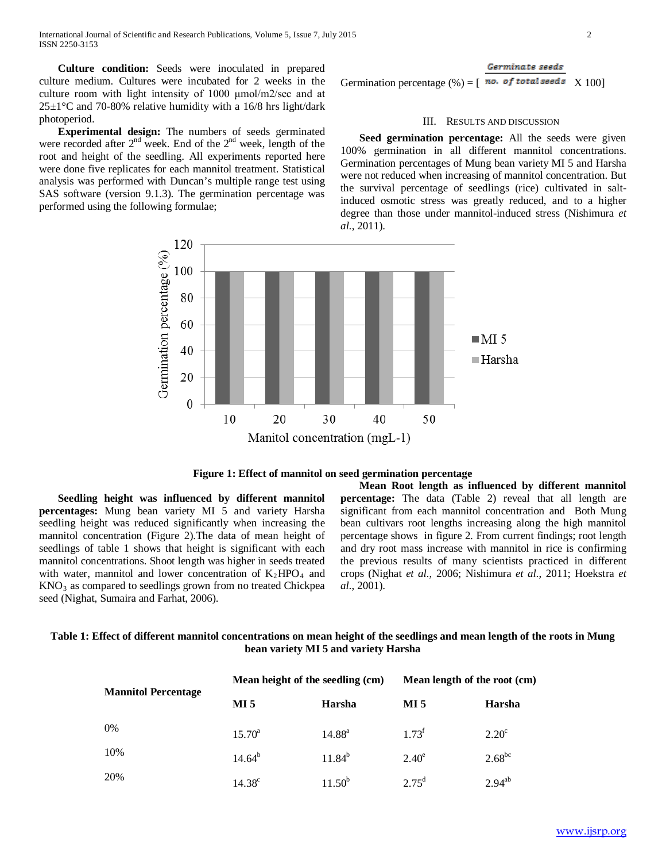**Culture condition:** Seeds were inoculated in prepared culture medium. Cultures were incubated for 2 weeks in the culture room with light intensity of 1000 μmol/m2/sec and at  $25\pm1\degree$ C and 70-80% relative humidity with a 16/8 hrs light/dark photoperiod.

 **Experimental design:** The numbers of seeds germinated were recorded after 2<sup>nd</sup> week. End of the 2<sup>nd</sup> week, length of the root and height of the seedling. All experiments reported here were done five replicates for each mannitol treatment. Statistical analysis was performed with Duncan's multiple range test using SAS software (version 9.1.3). The germination percentage was performed using the following formulae;

Germination percentage  $(\%) = [\begin{array}{ccc} \textbf{no. of total seeds} & X 100 \end{array}]$ 

#### III. RESULTS AND DISCUSSION

 **Seed germination percentage:** All the seeds were given 100% germination in all different mannitol concentrations. Germination percentages of Mung bean variety MI 5 and Harsha were not reduced when increasing of mannitol concentration. But the survival percentage of seedlings (rice) cultivated in saltinduced osmotic stress was greatly reduced, and to a higher degree than those under mannitol-induced stress (Nishimura *et al.*, 2011).



**Figure 1: Effect of mannitol on seed germination percentage**

 **Seedling height was influenced by different mannitol percentages:** Mung bean variety MI 5 and variety Harsha seedling height was reduced significantly when increasing the mannitol concentration (Figure 2).The data of mean height of seedlings of table 1 shows that height is significant with each mannitol concentrations. Shoot length was higher in seeds treated with water, mannitol and lower concentration of  $K_2HPO_4$  and  $KNO<sub>3</sub>$  as compared to seedlings grown from no treated Chickpea seed (Nighat, Sumaira and Farhat, 2006).

 **Mean Root length as influenced by different mannitol percentage:** The data (Table 2) reveal that all length are significant from each mannitol concentration and Both Mung bean cultivars root lengths increasing along the high mannitol percentage shows in figure 2. From current findings; root length and dry root mass increase with mannitol in rice is confirming the previous results of many scientists practiced in different crops (Nighat *et al.*, 2006; Nishimura *et al.*, 2011; Hoekstra *et al.*, 2001).

## **Table 1: Effect of different mannitol concentrations on mean height of the seedlings and mean length of the roots in Mung bean variety MI 5 and variety Harsha**

|                            | Mean height of the seedling (cm) |                 | Mean length of the root (cm)                         |                |
|----------------------------|----------------------------------|-----------------|------------------------------------------------------|----------------|
| <b>Mannitol Percentage</b> | MI <sub>5</sub>                  | Harsha          | MI 5<br>$1.73^{\rm t}$<br>$2.40^e$<br>$2.75^{\rm d}$ | Harsha         |
| 0%                         | $15.70^{\circ}$                  | $14.88^{\rm a}$ |                                                      | $2.20^{\circ}$ |
| 10%                        | $14.64^{b}$                      | $11.84^{b}$     |                                                      | $2.68^{bc}$    |
| 20%                        | $14.38^{\circ}$                  | $11.50^{b}$     |                                                      | $2.94^{ab}$    |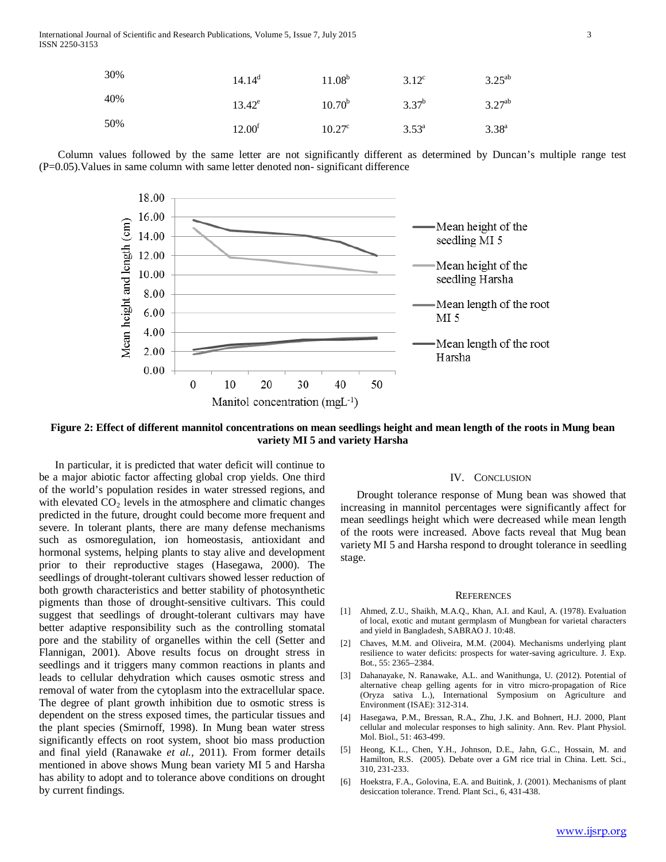| 30% | $14.14^{\circ}$    | $11.08^b$       | $3.12^{\circ}$ | $3.25^{ab}$ |
|-----|--------------------|-----------------|----------------|-------------|
| 40% | $13.42^e$          | $10.70^{b}$     | $3.37^{b}$     | $3.27^{ab}$ |
| 50% | 12.00 <sup>f</sup> | $10.27^{\circ}$ | $3.53^{\circ}$ | $3.38^{a}$  |

 Column values followed by the same letter are not significantly different as determined by Duncan's multiple range test (P=0.05).Values in same column with same letter denoted non- significant difference



**Figure 2: Effect of different mannitol concentrations on mean seedlings height and mean length of the roots in Mung bean variety MI 5 and variety Harsha**

 In particular, it is predicted that water deficit will continue to be a major abiotic factor affecting global crop yields. One third of the world's population resides in water stressed regions, and with elevated  $CO<sub>2</sub>$  levels in the atmosphere and climatic changes predicted in the future, drought could become more frequent and severe. In tolerant plants, there are many defense mechanisms such as osmoregulation, ion homeostasis, antioxidant and hormonal systems, helping plants to stay alive and development prior to their reproductive stages (Hasegawa, 2000). The seedlings of drought-tolerant cultivars showed lesser reduction of both growth characteristics and better stability of photosynthetic pigments than those of drought-sensitive cultivars. This could suggest that seedlings of drought-tolerant cultivars may have better adaptive responsibility such as the controlling stomatal pore and the stability of organelles within the cell (Setter and Flannigan, 2001). Above results focus on drought stress in seedlings and it triggers many common reactions in plants and leads to cellular dehydration which causes osmotic stress and removal of water from the cytoplasm into the extracellular space. The degree of plant growth inhibition due to osmotic stress is dependent on the stress exposed times, the particular tissues and the plant species (Smirnoff, 1998). In Mung bean water stress significantly effects on root system, shoot bio mass production and final yield (Ranawake *et al.,* 2011). From former details mentioned in above shows Mung bean variety MI 5 and Harsha has ability to adopt and to tolerance above conditions on drought by current findings.

### IV. CONCLUSION

 Drought tolerance response of Mung bean was showed that increasing in mannitol percentages were significantly affect for mean seedlings height which were decreased while mean length of the roots were increased. Above facts reveal that Mug bean variety MI 5 and Harsha respond to drought tolerance in seedling stage.

#### **REFERENCES**

- [1] Ahmed, Z.U., Shaikh, M.A.Q., Khan, A.I. and Kaul, A. (1978). Evaluation of local, exotic and mutant germplasm of Mungbean for varietal characters and yield in Bangladesh, SABRAO J. 10:48.
- [2] Chaves, M.M. and Oliveira, M.M. (2004). Mechanisms underlying plant resilience to water deficits: prospects for water-saving agriculture. J. Exp. Bot., 55: 2365–2384.
- [3] Dahanayake, N. Ranawake, A.L. and Wanithunga, U. (2012). Potential of alternative cheap gelling agents for in vitro micro-propagation of Rice (Oryza sativa L.), International Symposium on Agriculture and Environment (ISAE): 312-314.
- [4] Hasegawa, P.M., Bressan, R.A., Zhu, J.K. and Bohnert, H.J. 2000, Plant cellular and molecular responses to high salinity. Ann. Rev. Plant Physiol. Mol. Biol., 51: 463-499.
- [5] Heong, K.L., Chen, Y.H., Johnson, D.E., Jahn, G.C., Hossain, M. and Hamilton, R.S. (2005). Debate over a GM rice trial in China. Lett. Sci., 310, 231-233.
- [6] Hoekstra, F.A., Golovina, E.A. and Buitink, J. (2001). Mechanisms of plant desiccation tolerance. Trend. Plant Sci., 6, 431-438.